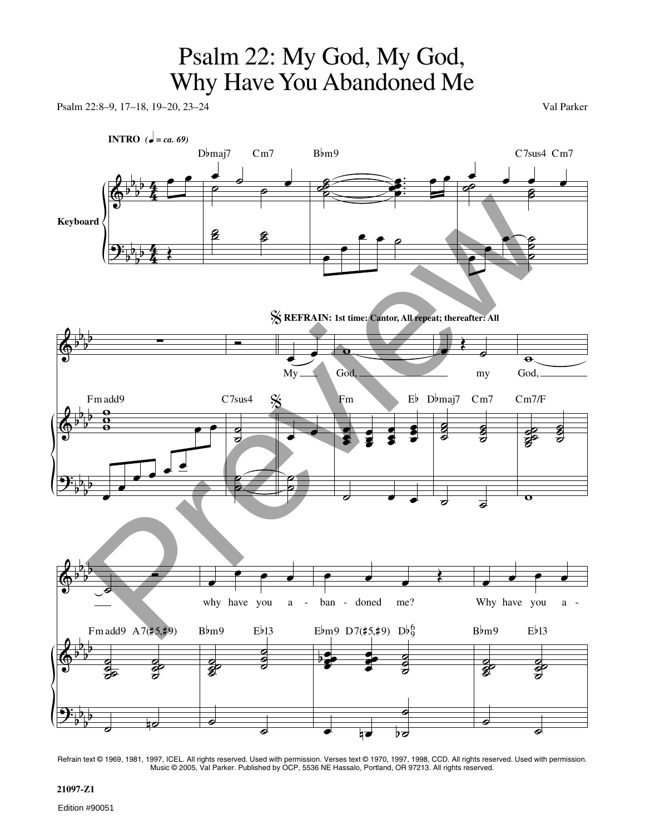## Psalm 22: My God, My God, Why Have You Abandoned Me

Psalm 22:8–9, 17–18, 19–20, 23–24 Val Parker



Refrain text © 1969, 1981, 1997, ICEL. All rights reserved. Used with permission. Verses text © 1970, 1997, 1998, CCD. All rights reserved. Used with permission. Music © 2005, Val Parker. Published by OCP, 5536 NE Hassalo, Portland, OR 97213. All rights reserved.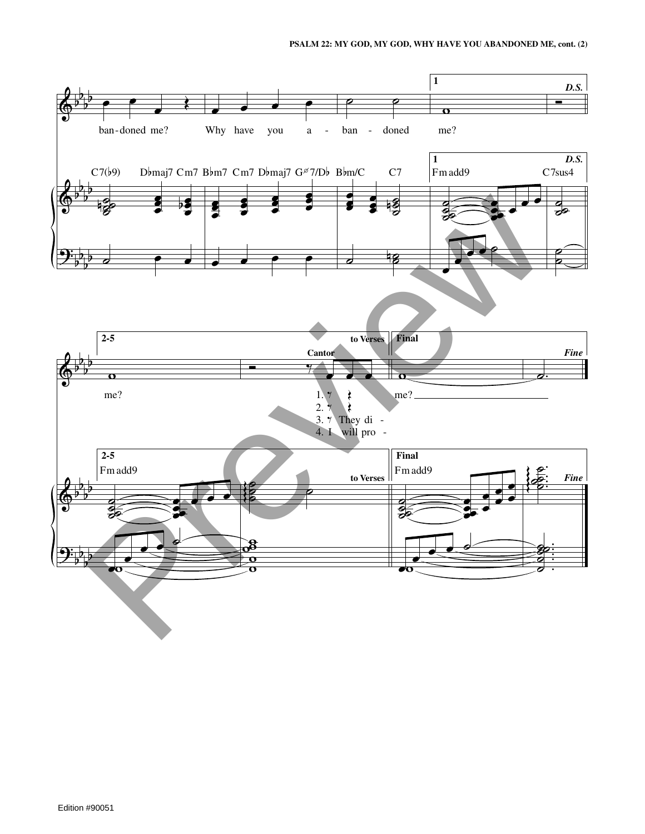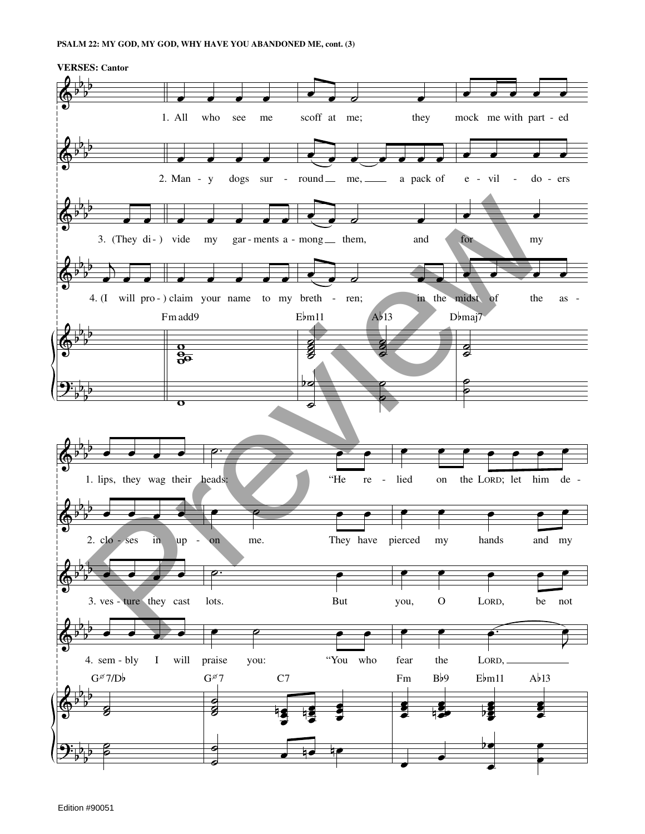